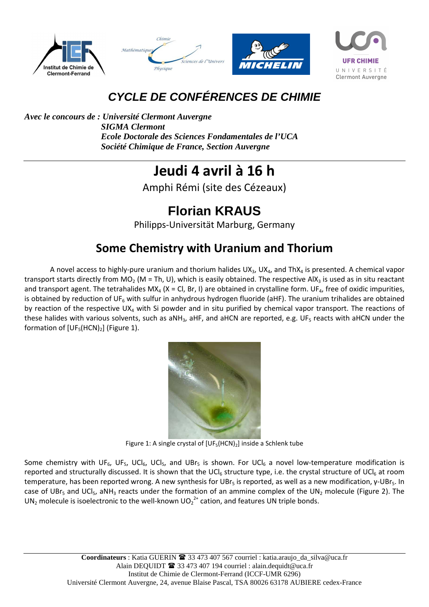







## **CYCLE DE CONFÉRENCES DE CHIMIE**

*Avec le concours de : Université Clermont Auvergne SIGMA Clermont Ecole Doctorale des Sciences Fondamentales de l'UCA Société Chimique de France, Section Auvergne* 

## **Jeudi 4 avril à 16 h**

Amphi Rémi (site des Cézeaux)

## **Florian KRAUS**

Philipps-Universität Marburg, Germany

## **Some Chemistry with Uranium and Thorium**

A novel access to highly-pure uranium and thorium halides  $UX_3$ ,  $UX_4$ , and ThX<sub>4</sub> is presented. A chemical vapor transport starts directly from  $MO_2$  (M = Th, U), which is easily obtained. The respective AlX<sub>3</sub> is used as in situ reactant and transport agent. The tetrahalides MX<sub>4</sub> (X = Cl, Br, I) are obtained in crystalline form. UF<sub>4</sub>, free of oxidic impurities, is obtained by reduction of UF<sub>6</sub> with sulfur in anhydrous hydrogen fluoride (aHF). The uranium trihalides are obtained by reaction of the respective UX<sub>4</sub> with Si powder and in situ purified by chemical vapor transport. The reactions of these halides with various solvents, such as aNH<sub>3</sub>, aHF, and aHCN are reported, e.g. UF<sub>5</sub> reacts with aHCN under the formation of  $[UF<sub>5</sub>(HCN)<sub>2</sub>]$  (Figure 1).



Figure 1: A single crystal of  $[UF_5(HCN)_2]$  inside a Schlenk tube

Some chemistry with UF<sub>6</sub>, UF<sub>5</sub>, UCl<sub>5</sub>, UCl<sub>5</sub>, and UBr<sub>5</sub> is shown. For UCl<sub>6</sub> a novel low-temperature modification is reported and structurally discussed. It is shown that the UCl<sub>6</sub> structure type, i.e. the crystal structure of UCl<sub>6</sub> at room temperature, has been reported wrong. A new synthesis for UBr<sub>5</sub> is reported, as well as a new modification, γ-UBr<sub>5</sub>. In case of UBr<sub>5</sub> and UCl<sub>5</sub>, aNH<sub>3</sub> reacts under the formation of an ammine complex of the UN<sub>2</sub> molecule (Figure 2). The UN<sub>2</sub> molecule is isoelectronic to the well-known UO<sub>2</sub><sup>2+</sup> cation, and features UN triple bonds.